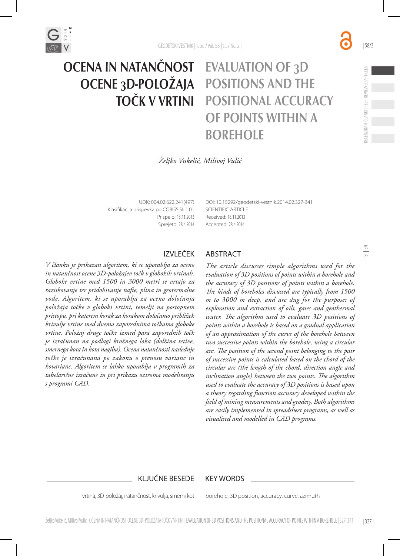

# EVALUATION OF 3D POSITIONS AND THE POSITIONAL ACCURACY OF POINTS WITHIN A **BOREHOLE** OCENA IN NATANČNOST OCENE 3D-POLOŽAJA TOČK V VRTINI

*Željko Vukelić, Milivoj Vulić*

UDK: 004.02:622.241(497) Klasifikacija prispevka po COBISS.SI: 1.01 Prispelo: 18.11.2013 Sprejeto: 28.4.2014

DOI: 10.15292/geodetski-vestnik.2014.02.327-341 SCIENTIFIC ARTICLE Received: 18.11.2013 Accepted: 28.4.2014

*V članku je prikazan algoritem, ki se uporablja za oceno in natančnost ocene 3D-položajev točk v globokih vrtinah. Globoke vrtine med 1500 in 3000 metri se vrtajo za raziskovanje ter pridobivanje nafte, plina in geotermalne vode. Algoritem, ki se uporablja za oceno določanja položaja točke v globoki vrtini, temelji na postopnem pristopu, pri katerem korak za korakom določamo približek krivulje vrtine med dvema zaporednima točkama globoke vrtine. Položaj druge točke izmed para zaporednih točk je izračunan na podlagi krožnega loka (dolžina tetive, smernega kota in kota nagiba). Ocena natančnosti naslednje točke je izračunana po zakonu o prenosu varianc in kovarianc. Algoritem se lahko uporablja v programih za tabelarične izračune in pri prikazu oziroma modeliranju s programi CAD.*

## IZVLEČEK ABSTRACT

*The article discusses simple algorithms used for the evaluation of 3D positions of points within a borehole and the accuracy of 3D positions of points within a borehole. The kinds of boreholes discussed are typically from 1500 m to 3000 m deep, and are dug for the purposes of exploration and extraction of oils, gases and geothermal water. The algorithm used to evaluate 3D positions of points within a borehole is based on a gradual application of an approximation of the curve of the borehole between two successive points within the borehole, using a circular arc. The position of the second point belonging to the pair of successive points is calculated based on the chord of the circular arc (the length of the chord, direction angle and inclination angle) between the two points. The algorithm used to evaluate the accuracy of 3D positions is based upon a theory regarding function accuracy developed within the field of mining measurements and geodesy. Both algorithms are easily implemented in spreadsheet programs, as well as visualised and modelled in CAD programs.*

### KLJUČNE BESEDE KEY WORDS

vrtina, 3D-položaj, natančnost, krivulja, smerni kot

borehole, 3D position, accuracy, curve, azimuth

| 58/2 |

RECENZIRANI ČLANKI | PEER-REVIEWED ARTICLES

RECENZIRANI ČLANKI | PEER-REVIEWED ARTICLES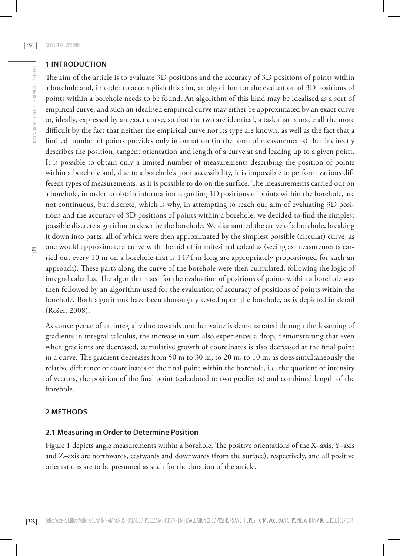## **1 INTRODUCTION**

The aim of the article is to evaluate 3D positions and the accuracy of 3D positions of points within a borehole and, in order to accomplish this aim, an algorithm for the evaluation of 3D positions of points within a borehole needs to be found. An algorithm of this kind may be idealised as a sort of empirical curve, and such an idealised empirical curve may either be approximated by an exact curve or, ideally, expressed by an exact curve, so that the two are identical, a task that is made all the more difficult by the fact that neither the empirical curve nor its type are known, as well as the fact that a limited number of points provides only information (in the form of measurements) that indirectly describes the position, tangent orientation and length of a curve at and leading up to a given point. It is possible to obtain only a limited number of measurements describing the position of points within a borehole and, due to a borehole's poor accessibility, it is impossible to perform various different types of measurements, as it is possible to do on the surface. The measurements carried out on a borehole, in order to obtain information regarding 3D positions of points within the borehole, are not continuous, but discrete, which is why, in attempting to reach our aim of evaluating 3D positions and the accuracy of 3D positions of points within a borehole, we decided to find the simplest possible discrete algorithm to describe the borehole. We dismantled the curve of a borehole, breaking it down into parts, all of which were then approximated by the simplest possible (circular) curve, as one would approximate a curve with the aid of infinitesimal calculus (seeing as measurements carried out every 10 m on a borehole that is 1474 m long are appropriately proportioned for such an approach). These parts along the curve of the borehole were then cumulated, following the logic of integral calculus. The algorithm used for the evaluation of positions of points within a borehole was then followed by an algorithm used for the evaluation of accuracy of positions of points within the borehole. Both algorithms have been thoroughly tested upon the borehole, as is depicted in detail (Rošer, 2008).

As convergence of an integral value towards another value is demonstrated through the lessening of gradients in integral calculus, the increase in sum also experiences a drop, demonstrating that even when gradients are decreased, cumulative growth of coordinates is also decreased at the final point in a curve. The gradient decreases from 50 m to 30 m, to 20 m, to 10 m, as does simultaneously the relative difference of coordinates of the final point within the borehole, i.e. the quotient of intensity of vectors, the position of the final point (calculated to two gradients) and combined length of the borehole.

## **2 METHODS**

## **2.1 Measuring in Order to Determine Position**

Figure 1 depicts angle measurements within a borehole. The positive orientations of the X–axis, Y–axis and Z–axis are northwards, eastwards and downwards (from the surface), respectively, and all positive orientations are to be presumed as such for the duration of the article.

 $\Xi$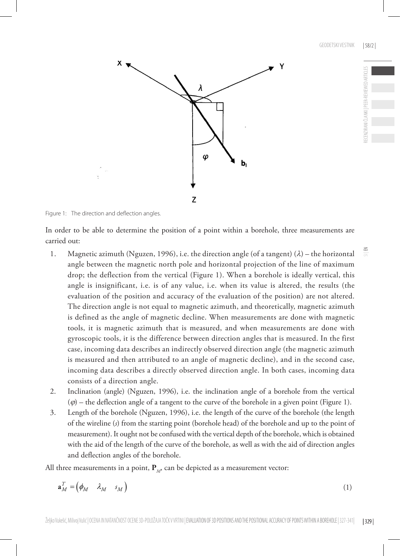

Figure 1: The direction and deflection angles.

In order to be able to determine the position of a point within a borehole, three measurements are carried out:

- 1. Magnetic azimuth (Nguzen, 1996), i.e. the direction angle (of a tangent)  $(\lambda)$  the horizontal angle between the magnetic north pole and horizontal projection of the line of maximum drop; the deflection from the vertical (Figure 1). When a borehole is ideally vertical, this angle is insignificant, i.e. is of any value, i.e. when its value is altered, the results (the evaluation of the position and accuracy of the evaluation of the position) are not altered. The direction angle is not equal to magnetic azimuth, and theoretically, magnetic azimuth is defined as the angle of magnetic decline. When measurements are done with magnetic tools, it is magnetic azimuth that is measured, and when measurements are done with gyroscopic tools, it is the difference between direction angles that is measured. In the first case, incoming data describes an indirectly observed direction angle (the magnetic azimuth is measured and then attributed to an angle of magnetic decline), and in the second case, incoming data describes a directly observed direction angle. In both cases, incoming data consists of a direction angle.
- 2. Inclination (angle) (Nguzen, 1996), i.e. the inclination angle of a borehole from the vertical  $(\varphi)$  – the deflection angle of a tangent to the curve of the borehole in a given point (Figure 1).
- 3. Length of the borehole (Nguzen, 1996), i.e. the length of the curve of the borehole (the length of the wireline (*s*) from the starting point (borehole head) of the borehole and up to the point of measurement). It ought not be confused with the vertical depth of the borehole, which is obtained with the aid of the length of the curve of the borehole, as well as with the aid of direction angles and deflection angles of the borehole.

All three measurements in a point,  $P_M$ , can be depicted as a measurement vector:

$$
\mathbf{a}_M^T = \begin{pmatrix} \phi_M & \lambda_M & s_M \end{pmatrix} \tag{1}
$$

 $\leq$ 

RECENZIRANI ČLANKI | PEER-REVIEWED ARTICLES

FCFNZIRANI ČI ANKI I PFFR-RFVIFWED ARTICI FS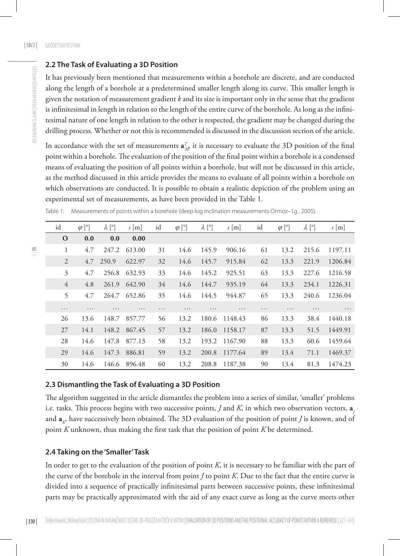### **2.2 The Task of Evaluating a 3D Position**

It has previously been mentioned that measurements within a borehole are discrete, and are conducted along the length of a borehole at a predetermined smaller length along its curve. This smaller length is given the notation of measurement gradient *k* and its size is important only in the sense that the gradient is infinitesimal in length in relation to the length of the entire curve of the borehole. As long as the infinitesimal nature of one length in relation to the other is respected, the gradient may be changed during the drilling process. Whether or not this is recommended is discussed in the discussion section of the article.

In accordance with the set of measurements  $\mathbf{a}_{M}^{T}$  it is necessary to evaluate the 3D position of the final point within a borehole. The evaluation of the position of the final point within a borehole is a condensed means of evaluating the position of all points within a borehole, but will not be discussed in this article, as the method discussed in this article provides the means to evaluate of all points within a borehole on which observations are conducted. It is possible to obtain a realistic depiction of the problem using an experimental set of measurements, as have been provided in the Table 1.

| id             | $\varphi$ [°] | $\lambda$ [°] | $s$ [m]  | id       | $\varphi$ [°] | $\lambda$ [°] | $s$ [m]  | id       | $\varphi$ [°] | $\lambda$ [°] | $s$ [m] |
|----------------|---------------|---------------|----------|----------|---------------|---------------|----------|----------|---------------|---------------|---------|
| $\mathbf{O}$   | 0.0           | 0.0           | 0.00     |          |               |               |          |          |               |               |         |
| 1              | 4.7           | 247.2         | 613.00   | 31       | 14.6          | 145.9         | 906.16   | 61       | 13.2          | 215.6         | 1197.11 |
| 2              | 4.7           | 250.9         | 622.97   | 32       | 14.6          | 145.7         | 915.84   | 62       | 13.3          | 221.9         | 1206.84 |
| 3              | 4.7           | 256.8         | 632.93   | 33       | 14.6          | 145.2         | 925.51   | 63       | 13.3          | 227.6         | 1216.58 |
| $\overline{4}$ | 4.8           | 261.9         | 642.90   | 34       | 14.6          | 144.7         | 935.19   | 64       | 13.3          | 234.1         | 1226.31 |
| 5              | 4.7           | 264.7         | 652.86   | 35       | 14.6          | 144.5         | 944.87   | 65       | 13.3          | 240.6         | 1236.04 |
| $\cdots$       | $\cdots$      | $\cdots$      | $\cdots$ | $\cdots$ | $\cdots$      | $\cdots$      | $\cdots$ | $\cdots$ | $\cdots$      | $\cdots$      | .       |
| 26             | 13.6          | 148.7         | 857.77   | 56       | 13.2          | 180.6         | 1148.43  | 86       | 13.3          | 38.4          | 1440.18 |
| 27             | 14.1          | 148.2         | 867.45   | 57       | 13.2          | 186.0         | 1158.17  | 87       | 13.3          | 51.5          | 1449.91 |
| 28             | 14.6          | 147.8         | 877.13   | 58       | 13.2          | 193.2         | 1167.90  | 88       | 13.3          | 60.6          | 1459.64 |
| 29             | 14.6          | 147.3         | 886.81   | 59       | 13.2          | 200.8         | 1177.64  | 89       | 13.4          | 71.1          | 1469.37 |
| 30             | 14.6          | 146.6         | 896.48   | 60       | 13.2          | 208.8         | 1187.38  | 90       | 13.4          | 81.3          | 1474.23 |

Table 1: Measurements of points within a borehole (deep log inclination measurements Ormoz–1g , 2005).

### **2.3 Dismantling the Task of Evaluating a 3D Position**

The algorithm suggested in the article dismantles the problem into a series of similar, 'smaller' problems i.e. tasks. This process begins with two successive points, *J* and *K*, in which two observation vectors, **a***<sup>J</sup>* and **a***K*, have successively been obtained. The 3D evaluation of the position of point *J* is known, and of point *K* unknown, thus making the first task that the position of point *K* be determined.

#### **2.4 Taking on the 'Smaller' Task**

In order to get to the evaluation of the position of point *K*, it is necessary to be familiar with the part of the curve of the borehole in the interval from point *J* to point *K*. Due to the fact that the entire curve is divided into a sequence of practically infinitesimal parts between successive points, these infinitesimal parts may be practically approximated with the aid of any exact curve as long as the curve meets other

RECENZIRANI ČLANKI | PEER-REVIEWED ARTICLES

RECENZIRANI ČLANKI I PEER-REVIEWED ARTICLES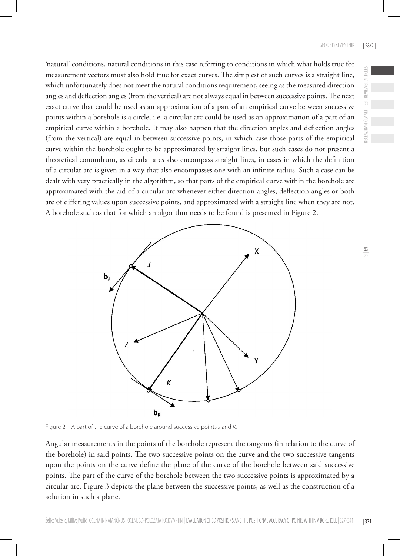'natural' conditions, natural conditions in this case referring to conditions in which what holds true for measurement vectors must also hold true for exact curves. The simplest of such curves is a straight line, which unfortunately does not meet the natural conditions requirement, seeing as the measured direction angles and deflection angles (from the vertical) are not always equal in between successive points. The next exact curve that could be used as an approximation of a part of an empirical curve between successive points within a borehole is a circle, i.e. a circular arc could be used as an approximation of a part of an empirical curve within a borehole. It may also happen that the direction angles and deflection angles (from the vertical) are equal in between successive points, in which case those parts of the empirical curve within the borehole ought to be approximated by straight lines, but such cases do not present a theoretical conundrum, as circular arcs also encompass straight lines, in cases in which the definition of a circular arc is given in a way that also encompasses one with an infinite radius. Such a case can be dealt with very practically in the algorithm, so that parts of the empirical curve within the borehole are approximated with the aid of a circular arc whenever either direction angles, deflection angles or both are of differing values upon successive points, and approximated with a straight line when they are not. A borehole such as that for which an algorithm needs to be found is presented in Figure 2.



Figure 2: A part of the curve of a borehole around successive points *J* and *K.*

Angular measurements in the points of the borehole represent the tangents (in relation to the curve of the borehole) in said points. The two successive points on the curve and the two successive tangents upon the points on the curve define the plane of the curve of the borehole between said successive points. The part of the curve of the borehole between the two successive points is approximated by a circular arc. Figure 3 depicts the plane between the successive points, as well as the construction of a solution in such a plane.

RECENZIRANI ČLANKI | PEER-REVIEWED ARTICLES

RECENZIRANI ČLANKI I PEER-REVIEWED ARTICLES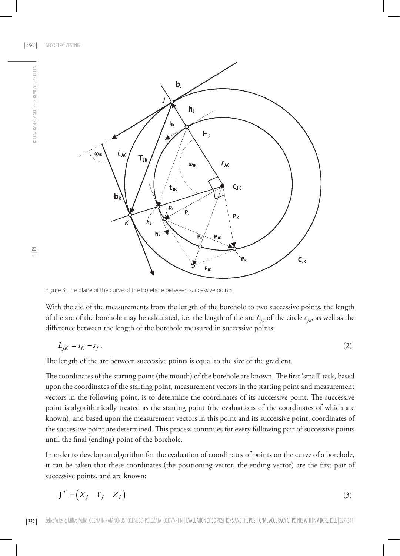| 58/2 | GEODETSKI VESTNIK



Figure 3: The plane of the curve of the borehole between successive points.

With the aid of the measurements from the length of the borehole to two successive points, the length of the arc of the borehole may be calculated, i.e. the length of the arc  $L_{K}$  of the circle  $c_{K}$ , as well as the difference between the length of the borehole measured in successive points:

$$
L_{JK} = s_K - s_J \tag{2}
$$

The length of the arc between successive points is equal to the size of the gradient.

The coordinates of the starting point (the mouth) of the borehole are known. The first 'small' task, based upon the coordinates of the starting point, measurement vectors in the starting point and measurement vectors in the following point, is to determine the coordinates of its successive point. The successive point is algorithmically treated as the starting point (the evaluations of the coordinates of which are known), and based upon the measurement vectors in this point and its successive point, coordinates of the successive point are determined. This process continues for every following pair of successive points until the final (ending) point of the borehole.

In order to develop an algorithm for the evaluation of coordinates of points on the curve of a borehole, it can be taken that these coordinates (the positioning vector, the ending vector) are the first pair of successive points, and are known:

$$
\mathbf{J}^T = \begin{pmatrix} X_J & Y_J & Z_J \end{pmatrix} \tag{3}
$$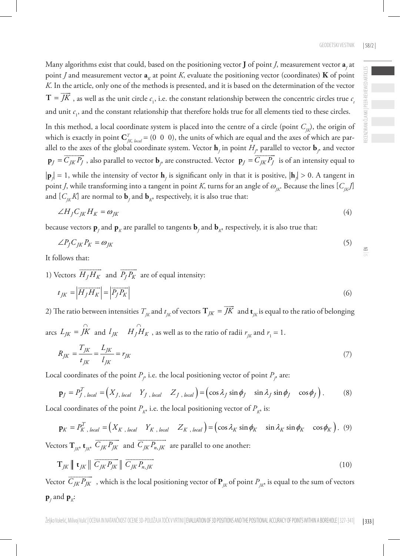RECENZIRANI ČLANKI | PEER-REVIEWED ARTICLES

ECENZIRANI ČLANKI | PEER-REVIEWED ARTICLES

 $\leq$ 

Many algorithms exist that could, based on the positioning vector **J** of point *J*, measurement vector  $a_j$  at point *J* and measurement vector  $\mathbf{a}_k$  at point *K*, evaluate the positioning vector (coordinates) **K** of point *K*. In the article, only one of the methods is presented, and it is based on the determination of the vector  $T = \overline{JK}$ , as well as the unit circle  $c_1$ , i.e. the constant relationship between the concentric circles true  $c_i$ and unit  $c_1$ , and the constant relationship that therefore holds true for all elements tied to these circles.

In this method, a local coordinate system is placed into the centre of a circle (point  $C_{\text{IR}}$ ), the origin of which is exactly in point  $\mathbf{C}_{jk, local}^T = (0 \ 0 \ 0)$ , the units of which are equal and the axes of which are parallel to the axes of the global coordinate system. Vector  $\mathbf{h}_j$  in point  $H_j$  parallel to vector  $\mathbf{b}_j$  and vector  $\mathbf{p}_J = \overline{C_{JK} P_J}$ , also parallel to vector  $\mathbf{b}_f$  are constructed. Vector  $\mathbf{p}_J = \overline{C_{JK} P_J}$  is of an intensity equal to  $|\mathbf{p}_j|=1$ , while the intensity of vector  $\mathbf{h}_j$  is significant only in that it is positive,  $|\mathbf{h}_j|>0$ . A tangent in point *J*, while transforming into a tangent in point *K*, turns for an angle of  $\omega_{K}$ . Because the lines  $[C_K]$ and  $\lfloor C_{\!JK}^{} K \rfloor$  are normal to  $\mathbf{b}_{\!{}_J}$  and  $\mathbf{b}_{\!{}_K^o}$  respectively, it is also true that:

$$
\angle H_j C_{JK} H_K = \omega_{JK} \tag{4}
$$

because vectors  $\mathbf{p}_j$  and  $\mathbf{p}_K$  are parallel to tangents  $\mathbf{b}_j$  and  $\mathbf{b}_K$ , respectively, it is also true that:

$$
\angle P_J C_{JK} P_K = \omega_{JK} \tag{5}
$$

It follows that:

1) Vectors  $\overrightarrow{H_j H_K}$  and  $\overrightarrow{P_j P_K}$  are of equal intensity:  $t_{IK} = \left| \overrightarrow{H_I H_K} \right| = \left| \overrightarrow{P_I P_K} \right|$  (6)

2) The ratio between intensities  $T_{jk}$  and  $t_{jk}$  of vectors  $\mathbf{T}_{jk} = \overrightarrow{JK}$  and  $\mathbf{t}_{jk}$  is equal to the ratio of belonging

arcs  $L_{JK} = \hat{J}K$  and  $l_{JK}$   $H_J \hat{H}_K$ , as well as to the ratio of radii  $r_{JK}$  and  $r_1 = 1$ .

$$
R_{JK} = \frac{T_{JK}}{t_{JK}} = \frac{L_{JK}}{l_{JK}} = r_{JK}
$$
\n(7)

Local coordinates of the point  $P_{_{\cal P}}$  i.e. the local positioning vector of point  $P_{_{\cal P}}$  are:

$$
\mathbf{p}_J = P_J^T,_{local} = \begin{pmatrix} X_{J, \text{ local}} & Y_{J, \text{ local}} & Z_{J, \text{ local}} \end{pmatrix} = \begin{pmatrix} \cos \lambda_J \sin \phi_J & \sin \lambda_J \sin \phi_J & \cos \phi_J \end{pmatrix}.
$$
 (8)

Local coordinates of the point  $P_{\kappa}$ , i.e. the local positioning vector of  $P_{\kappa}$ , is:

$$
\mathbf{p}_K = P_K^T,_{local} = \begin{pmatrix} X_{K, \text{ local}} & Y_{K, \text{ local}} & Z_{K, \text{ local}} \end{pmatrix} = \begin{pmatrix} \cos \lambda_K \sin \phi_K & \sin \lambda_K \sin \phi_K & \cos \phi_K \end{pmatrix}. \tag{9}
$$

Vectors  $\mathbf{T}_{jk}$ ,  $\mathbf{t}_{jk}$ ,  $\overrightarrow{C_{JK}P_{JK}}$  and  $\overrightarrow{C_{JK}P_{n,K}}$  are parallel to one another:

$$
\mathbf{T}_{JK} \parallel \mathbf{t}_{JK} \parallel \overrightarrow{C_{JK}P_{JK}} \parallel \overrightarrow{C_{JK}P_{n,JK}}
$$
\n(10)

Vector  $\overrightarrow{C_{JK}P_{JK}}$ , which is the local positioning vector of  $\mathbf{P}_{JK}$  of point  $P_{JK}$  is equal to the sum of vectors  $\mathbf{p}_j$  and  $\mathbf{p}_k$ :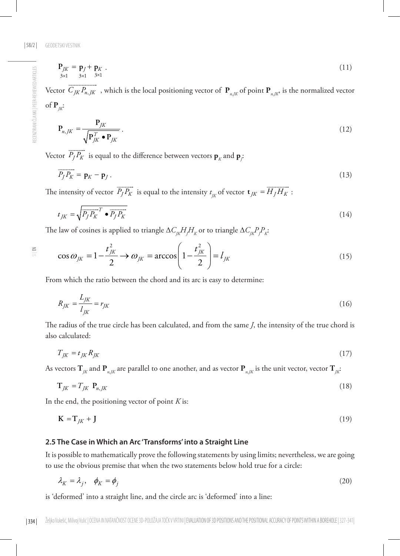$$
\mathbf{P}_{JK} = \mathbf{p}_J + \mathbf{p}_K \tag{11} \\ \mathbf{3} \times \mathbf{1} \quad \mathbf{3} \times \mathbf{1} \tag{12}
$$

Vector  $\overrightarrow{C_{JK}P_{n,JK}}$ , which is the local positioning vector of  $\mathbf{P}_{n,JK}$  of point  $\mathbf{P}_{n,JK}$ , is the normalized vector of  $P_{ik}$ :

$$
\mathbf{P}_{n,K} = \frac{\mathbf{P}_{JK}}{\sqrt{\mathbf{P}_{JK}^T \cdot \mathbf{P}_{JK}}}.
$$
\n(12)

Vector  $\overrightarrow{P_j P_K}$  is equal to the difference between vectors  $\mathbf{p}_K$  and  $\mathbf{p}_j$ :

$$
\overrightarrow{P_J P_K} = \mathbf{p}_K - \mathbf{p}_J. \tag{13}
$$

The intensity of vector  $\overrightarrow{P_j P_K}$  is equal to the intensity  $t_{jk}$  of vector  $\mathbf{t}_{jk} = \overrightarrow{H_j H_K}$ :

$$
t_{JK} = \sqrt{\overline{P_J P_K}^T \bullet \overline{P_J P_K}}\tag{14}
$$

The law of cosines is applied to triangle  $\Delta C_{jk} H_j H_k$  or to triangle  $\Delta C_{jk} P_j P_k$ :

$$
\cos \omega_{JK} = 1 - \frac{t_{JK}^2}{2} \rightarrow \omega_{JK} = \arccos\left(1 - \frac{t_{JK}^2}{2}\right) = l_{JK}
$$
\n(15)

From which the ratio between the chord and its arc is easy to determine:

$$
R_{JK} = \frac{L_{JK}}{l_{JK}} = r_{JK} \tag{16}
$$

The radius of the true circle has been calculated, and from the same *J*, the intensity of the true chord is also calculated:

$$
T_{JK} = t_{JK} R_{JK} \tag{17}
$$

As vectors  $\mathbf{T}_K$  and  $\mathbf{P}_{n,K}$  are parallel to one another, and as vector  $\mathbf{P}_{n,K}$  is the unit vector, vector  $\mathbf{T}_K$ :

$$
\mathbf{T}_{JK} = T_{JK} \ \mathbf{P}_{n,JK} \tag{18}
$$

In the end, the positioning vector of point *K* is:

$$
\mathbf{K} = \mathbf{T}_{JK} + \mathbf{J} \tag{19}
$$

#### **2.5 The Case in Which an Arc 'Transforms' into a Straight Line**

It is possible to mathematically prove the following statements by using limits; nevertheless, we are going to use the obvious premise that when the two statements below hold true for a circle:

$$
\lambda_K = \lambda_j, \quad \phi_K = \phi_j \tag{20}
$$

is 'deformed' into a straight line, and the circle arc is 'deformed' into a line:

 $\leq$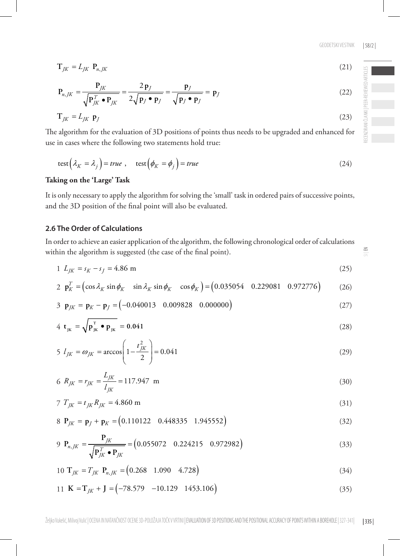(22)

 $\leq$ 

$$
\text{test}\left(\lambda_K = \lambda_j\right) = true, \quad \text{test}\left(\phi_K = \phi_j\right) = true \tag{24}
$$

The algorithm for the evaluation of 3D positions of points thus needs to be upgraded and enhanced for

 $T_{IK} = L_{IK} P_{n,K}$  (21)

 $T_{IK} = L_{IK} \, \mathbf{p}_I$  (23)

**Taking on the 'Large' Task**

2

2  $P_{n,JK} = \frac{I_{JK}}{\sqrt{P_{JK}^T \cdot P_{JK}}} = \frac{2P_J}{2\sqrt{P_J \cdot P_J}} = \frac{P_J}{\sqrt{P_J \cdot P_J}} = P_J$  $=$   $\frac{-\frac{r}{K}}{1}$   $=$   $\frac{-\frac{r}{K}}{1}$   $=$   $\frac{r}{K}$   $=$   $\frac{r}{K}$   $=$  $\bullet$  P<sub>IK</sub>  $2\sqrt{p_j \bullet p_j}$   $\sqrt{p_j \bullet p_j}$  $P_{n,K} = \frac{P_{JK}}{P_{m,K}} = \frac{2p_J}{P_{m,K}} = \frac{P_J}{P_{m,K}} = \frac{P_{m,K}}{P_{m,K}} = \frac{P_{m,K}}{P_{m,K}} = \frac{P_{m,K}}{P_{m,K}} = \frac{P_{m,K}}{P_{m,K}} = \frac{P_{m,K}}{P_{m,K}} = \frac{P_{m,K}}{P_{m,K}} = \frac{P_{m,K}}{P_{m,K}} = \frac{P_{m,K}}{P_{m,K}} = \frac{P_{m,K}}{P_{m,K}} = \frac{P_{m,K}}{P_{m,K}} = \frac{P_{m,K}}{P_{m,K}} = \frac{P_{m,K}}{P$  $P_K^T \bullet P_{IK}$  2 $\sqrt{p_f \bullet p_f}$   $\sqrt{p_f \bullet p_f}$ 

use in cases where the following two statements hold true:

,

It is only necessary to apply the algorithm for solving the 'small' task in ordered pairs of successive points, and the 3D position of the final point will also be evaluated.

#### **2.6 The Order of Calculations**

In order to achieve an easier application of the algorithm, the following chronological order of calculations within the algorithm is suggested (the case of the final point).

$$
1 L_{JK} = s_K - s_J = 4.86 \text{ m} \tag{25}
$$

2 
$$
\mathbf{p}_K^T = (\cos \lambda_K \sin \phi_K \sin \lambda_K \sin \phi_K \cos \phi_K) = (0.035054 \quad 0.229081 \quad 0.972776)
$$
 (26)

$$
3 \tP_{JK} = P_K - P_J = (-0.040013 \t 0.009828 \t 0.000000)
$$
 (27)

$$
4 \t t_{jk} = \sqrt{p_{jk}^T} \cdot p_{jk} = 0.041 \tag{28}
$$

$$
5 I_{JK} = \omega_{JK} = \arccos\left(1 - \frac{t_{JK}^2}{2}\right) = 0.041\tag{29}
$$

$$
6 R_{JK} = r_{JK} = \frac{L_{JK}}{l_{JK}} = 117.947 \text{ m}
$$
\n(30)

$$
7 T_{JK} = t_{JK} R_{JK} = 4.860 \text{ m}
$$
\n(31)

$$
8 \ \mathbf{P}_{JK} = \mathbf{p}_J + \mathbf{p}_K = (0.110122 \quad 0.448335 \quad 1.945552)
$$
 (32)

$$
9 \ \mathbf{P}_{n,jK} = \frac{\mathbf{P}_{JK}}{\sqrt{\mathbf{P}_{JK}^T \cdot \mathbf{P}_{JK}}} = (0.055072 \quad 0.224215 \quad 0.972982)
$$
 (33)

$$
10 \text{ T}_{JK} = T_{JK} \text{ P}_{n,K} = (0.268 \quad 1.090 \quad 4.728) \tag{34}
$$

$$
11 \text{ K} = T_{JK} + J = \begin{pmatrix} -78.579 & -10.129 & 1453.106 \end{pmatrix}
$$
 (35)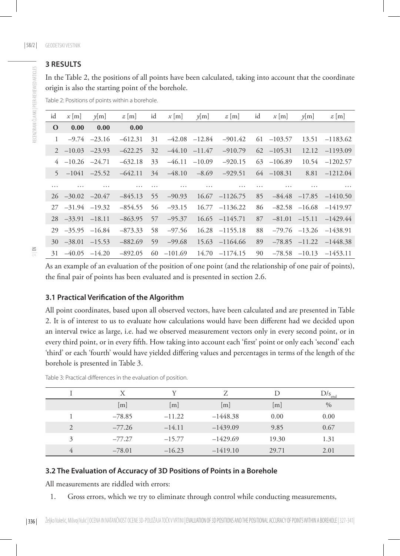## **3 RESULTS**

In the Table 2, the positions of all points have been calculated, taking into account that the coordinate origin is also the starting point of the borehole.

Table 2: Positions of points within a borehole.

| id           | $x \mid m \mid$   | $\nu$ [m]         | $z$ [m]   | id | $x$ [m]   | $\nu$ [m]         | $z$ [m]           | id | x m           | $\nu$ [m]         | $z$ [m]                      |
|--------------|-------------------|-------------------|-----------|----|-----------|-------------------|-------------------|----|---------------|-------------------|------------------------------|
| $\mathbf 0$  | 0.00              | 0.00              | 0.00      |    |           |                   |                   |    |               |                   |                              |
| $\mathbf{1}$ | $-9.74$           | $-23.16$          | $-612.31$ | 31 |           | $-42.08$ $-12.84$ | $-901.42$         | 61 | $-103.57$     |                   | 13.51 -1183.62               |
| 2            | $-10.03$          | $-23.93$          | $-622.25$ | 32 | $-44.10$  | $-11.47$          | $-910.79$         | 62 | $-105.31$     | 12.12             | $-1193.09$                   |
| 4            | $-10.26$ $-24.71$ |                   | $-632.18$ | 33 | $-46.11$  | $-10.09$          | $-920.15$         |    | $63 -106.89$  | 10.54             | $-1202.57$                   |
| 5            |                   | $-1041 -25.52$    | $-642.11$ | 34 | $-48.10$  | $-8.69$           | $-929.51$         |    | $64 - 108.31$ | 8.81              | $-1212.04$                   |
| .            | .                 | .                 | .         | .  | .         | .                 | .                 | .  | .             | .                 | $\cdots$                     |
| 26           | $-30.02$ $-20.47$ |                   | $-845.13$ | 55 | $-90.93$  |                   | $16.67 -1126.75$  | 85 |               |                   | $-84.48$ $-17.85$ $-1410.50$ |
| 27           | $-31.94$ $-19.32$ |                   | $-854.55$ | 56 | $-93.15$  |                   | $16.77 - 1136.22$ | 86 |               | $-82.58$ $-16.68$ | $-1419.97$                   |
| 28           | $-33.91$          | $-18.11$          | $-863.95$ | 57 | $-95.37$  |                   | $16.65 -1145.71$  | 87 | $-81.01$      | $-15.11$          | $-1429.44$                   |
| 29           | $-35.95$          | $-16.84$          | $-873.33$ | 58 | $-97.56$  | 16.28             | $-1155.18$        | 88 |               | $-79.76$ $-13.26$ | $-1438.91$                   |
| 30           |                   | $-38.01$ $-15.53$ | $-882.69$ | 59 | $-99.68$  |                   | $15.63 - 1164.66$ | 89 |               | $-78.85$ $-11.22$ | $-1448.38$                   |
| 31           |                   | $-40.05$ $-14.20$ | $-892.05$ | 60 | $-101.69$ |                   | $14.70 -1174.15$  | 90 |               |                   | $-78.58$ $-10.13$ $-1453.11$ |

As an example of an evaluation of the position of one point (and the relationship of one pair of points), the final pair of points has been evaluated and is presented in section 2.6.

#### **3.1 Practical Verification of the Algorithm**

All point coordinates, based upon all observed vectors, have been calculated and are presented in Table 2. It is of interest to us to evaluate how calculations would have been different had we decided upon an interval twice as large, i.e. had we observed measurement vectors only in every second point, or in every third point, or in every fifth. How taking into account each 'first' point or only each 'second' each 'third' or each 'fourth' would have yielded differing values and percentages in terms of the length of the borehole is presented in Table 3.

|   | X        | v        | 7                 | Ð                 | $D/s_{end}$ |
|---|----------|----------|-------------------|-------------------|-------------|
|   | [m]      | [m]      | $\lceil m \rceil$ | $\lceil m \rceil$ | $\%$        |
|   | $-78.85$ | $-11.22$ | $-1448.38$        | 0.00              | 0.00        |
| 2 | $-77.26$ | $-14.11$ | $-1439.09$        | 9.85              | 0.67        |
| 3 | $-77.27$ | $-15.77$ | $-1429.69$        | 19.30             | 1.31        |
| 4 | $-78.01$ | $-16.23$ | $-1419.10$        | 29.71             | 2.01        |

Table 3: Practical differences in the evaluation of position.

#### **3.2 The Evaluation of Accuracy of 3D Positions of Points in a Borehole**

All measurements are riddled with errors:

1. Gross errors, which we try to eliminate through control while conducting measurements,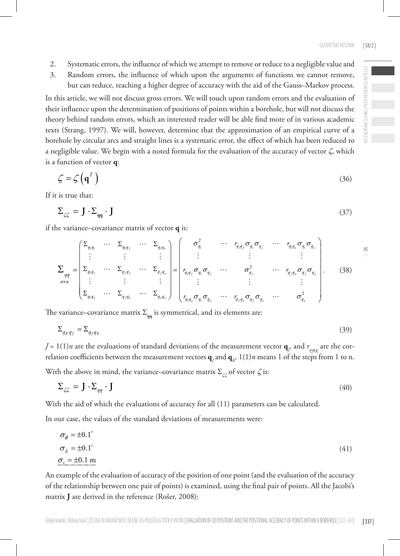- 2. Systematic errors, the influence of which we attempt to remove or reduce to a negligible value and
- 3. Random errors, the influence of which upon the arguments of functions we cannot remove, but can reduce, reaching a higher degree of accuracy with the aid of the Gauss–Markov process.

In this article, we will not discuss gross errors. We will touch upon random errors and the evaluation of their influence upon the determination of positions of points within a borehole, but will not discuss the theory behind random errors, which an interested reader will be able find more of in various academic texts (Strang, 1997). We will, however, determine that the approximation of an empirical curve of a borehole by circular arcs and straight lines is a systematic error, the effect of which has been reduced to a negligible value. We begin with a noted formula for the evaluation of the accuracy of vector  $\zeta$ , which is a function of vector **q**:

$$
\zeta = \zeta \left( \mathbf{q}^T \right) \tag{36}
$$

If it is true that:

$$
\Sigma_{\zeta\zeta} = \mathbf{J} \cdot \Sigma_{\mathbf{qq}} \cdot \mathbf{J} \tag{37}
$$

if the variance–covariance matrix of vector **q** is:

$$
\sum_{qqq} = \begin{pmatrix}\n\Sigma_{q,q_1} & \cdots & \Sigma_{q,q_j} & \cdots & \Sigma_{q,q_n} \\
\vdots & & \vdots & & \vdots \\
\Sigma_{q,q_1} & \cdots & \Sigma_{q,jq_1} & \cdots & \Sigma_{q,jq_n} \\
\vdots & & & \vdots & & \vdots \\
\Sigma_{q,q_n} & \cdots & \Sigma_{q,jq_n} & \cdots & \Sigma_{q,q_n}\n\end{pmatrix} = \begin{pmatrix}\n\sigma_q^2 & \cdots & r_{q,q_j} \sigma_q \sigma_q & \cdots & r_{q,q_n} \sigma_q \sigma_q \\
\vdots & & & \vdots & & \vdots \\
r_{q,q_j} \sigma_q \sigma_q & \cdots & \sigma_{q_j}^2 & \cdots & r_{q,jq_n} \sigma_q \sigma_q \\
\vdots & & & \vdots & & \vdots \\
r_{q,q_n} \sigma_q \sigma_q \sigma_q & \cdots & r_{q,jq_n} \sigma_q \sigma_q \sigma_q & \cdots & \sigma_{q_n}^2\n\end{pmatrix}.
$$
\n(38)

The variance–covariance matrix  $\Sigma_{qq}$  is symmetrical, and its elements are:

$$
\Sigma_{q_K q_J} = \Sigma_{q_J q_K} \tag{39}
$$

*J* = 1(1)*n* are the evaluations of standard deviations of the measurement vector  $\mathbf{q}_p$  and  $r_{q\mu K}$  are the correlation coefficients between the measurement vectors  $\mathbf{q}_{_f}$  and  $\mathbf{q}_{_K}$  1(1) $n$  means 1 of the steps from 1 to n.

With the above in mind, the variance–covariance matrix  $\Sigma_{\zeta}$  of vector  $\zeta$  is:

$$
\Sigma_{\zeta\zeta} = \mathbf{J} \cdot \Sigma_{qq} \cdot \mathbf{J} \tag{40}
$$

With the aid of which the evaluations of accuracy for all (11) parameters can be calculated.

In our case, the values of the standard deviations of measurements were:

$$
\sigma_{\phi} = \pm 0.1^{\circ}
$$
  
\n
$$
\sigma_{\lambda} = \pm 0.1^{\circ}
$$
  
\n
$$
\sigma_{\lambda} = \pm 0.1 \text{ m}
$$
  
\n(41)

An example of the evaluation of accuracy of the position of one point (and the evaluation of the accuracy of the relationship between one pair of points) is examined, using the final pair of points. All the Jacobi's matrix **J** are derived in the reference (Rošer, 2008):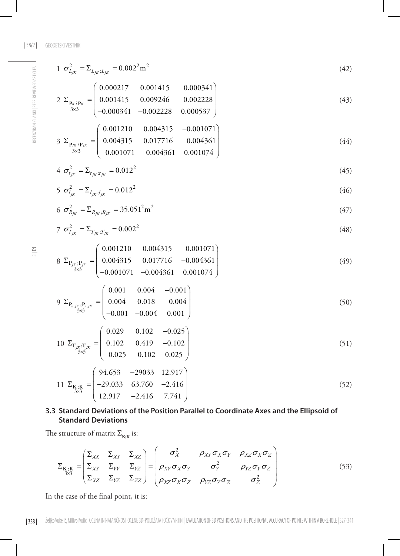RECENZIRANI ČLANKI | PEER-REVIEWED ARTICLES

RECENZIRANI ČLANKI I PEER-REVIEWED ARTICLES

$$
1 \t\sigma_{L_{JK}}^2 = \Sigma_{L_{JK};L_{JK}} = 0.002^2 \text{m}^2
$$
\t(42)

$$
2 \sum_{\substack{\mathbf{p}_{K}:\mathbf{p}_{K} \\ 3 \times 3}} \begin{pmatrix} 0.000217 & 0.001415 & -0.000341 \\ 0.001415 & 0.009246 & -0.002228 \\ -0.000341 & -0.002228 & 0.000537 \end{pmatrix}
$$
(43)

$$
3 \sum_{\substack{\mathbf{p}_{jK} \colon \mathbf{p}_{jK} \\ 3 \times 3}} = \begin{pmatrix} 0.001210 & 0.004315 & -0.001071 \\ 0.004315 & 0.017716 & -0.004361 \\ -0.001071 & -0.004361 & 0.001074 \end{pmatrix}
$$
(44)

$$
4 \sigma_{t_{JK}}^2 = \sum_{t_{JK}; t_{JK}} = 0.012^2 \tag{45}
$$

$$
5 \sigma_{l_{JK}}^2 = \sum_{l_{JK};l_{JK}} = 0.012^2 \tag{46}
$$

$$
6 \sigma_{R_{JK}}^2 = \Sigma_{R_{JK};R_{JK}} = 35.051^2 \text{m}^2 \tag{47}
$$

$$
7 \t\sigma_{T_{JK}}^2 = \Sigma_{T_{JK};T_{JK}} = 0.002^2 \t(48)
$$

$$
8 \ \Sigma_{P_{JK};P_{JK}} = \begin{pmatrix} 0.001210 & 0.004315 & -0.001071 \\ 0.004315 & 0.017716 & -0.004361 \\ -0.001071 & -0.004361 & 0.001074 \end{pmatrix}
$$
 (49)

$$
9 \ \Sigma_{\mathbf{P}_{n,[K]};\mathbf{P}_{n,[K]}} = \begin{pmatrix} 0.001 & 0.004 & -0.001 \\ 0.004 & 0.018 & -0.004 \\ -0.001 & -0.004 & 0.001 \end{pmatrix}
$$
 (50)

$$
10 \ \Sigma_{\mathbf{T}_{JK};\mathbf{T}_{JK}} = \begin{pmatrix} 0.029 & 0.102 & -0.025 \\ 0.102 & 0.419 & -0.102 \\ -0.025 & -0.102 & 0.025 \end{pmatrix}
$$
 (51)

$$
11 \ \Sigma_{\substack{\mathbf{K} \ , \mathbf{K} \\ 3 \times 3}} = \begin{pmatrix} 94.653 & -29033 & 12.917 \\ -29.033 & 63.760 & -2.416 \\ 12.917 & -2.416 & 7.741 \end{pmatrix} \tag{52}
$$

# **3.3 Standard Deviations of the Position Parallel to Coordinate Axes and the Ellipsoid of Standard Deviations**

The structure of matrix  $\Sigma_{\mathbf{K};\mathbf{K}}$  is:

$$
\Sigma_{\substack{\mathbf{K}, \mathbf{K} \\ 3 \times 3}} = \begin{pmatrix} \Sigma_{XY} & \Sigma_{XY} & \Sigma_{XZ} \\ \Sigma_{XY} & \Sigma_{YY} & \Sigma_{YZ} \\ \Sigma_{XZ} & \Sigma_{YZ} & \Sigma_{ZZ} \end{pmatrix} = \begin{pmatrix} \sigma_X^2 & \rho_{XY}\sigma_X\sigma_Y & \rho_{XZ}\sigma_X\sigma_Z \\ \rho_{XY}\sigma_X\sigma_Y & \sigma_Y^2 & \rho_{YZ}\sigma_Y\sigma_Z \\ \rho_{XZ}\sigma_X\sigma_Z & \rho_{YZ}\sigma_Y\sigma_Z & \sigma_Z^2 \end{pmatrix} \tag{53}
$$

In the case of the final point, it is: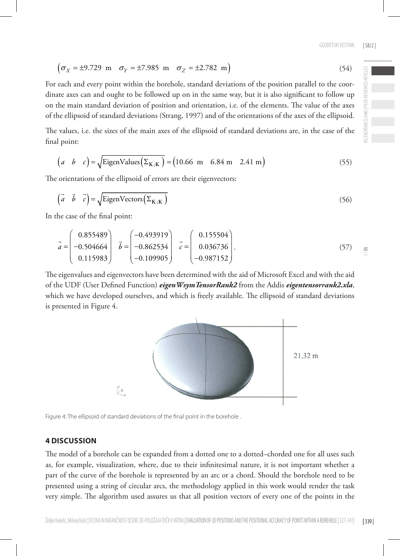$$
(\sigma_X = \pm 9.729 \text{ m } \sigma_Y = \pm 7.985 \text{ m } \sigma_Z = \pm 2.782 \text{ m})
$$
 (54)

For each and every point within the borehole, standard deviations of the position parallel to the coordinate axes can and ought to be followed up on in the same way, but it is also significant to follow up on the main standard deviation of position and orientation, i.e. of the elements. The value of the axes of the ellipsoid of standard deviations (Strang, 1997) and of the orientations of the axes of the ellipsoid.

The values, i.e. the sizes of the main axes of the ellipsoid of standard deviations are, in the case of the final point:

$$
\begin{pmatrix} a & b & c \end{pmatrix} = \sqrt{\text{EigenValues}\left(\Sigma_{K,K}\right)} = \begin{pmatrix} 10.66 \text{ m} & 6.84 \text{ m} & 2.41 \text{ m} \end{pmatrix}
$$
 (55)

The orientations of the ellipsoid of errors are their eigenvectors:

$$
\begin{pmatrix} \vec{a} & \vec{b} & \vec{c} \end{pmatrix} = \sqrt{\text{EigenVectors}\left(\Sigma_{K;K}\right)}
$$
\n(56)

In the case of the final point:

$$
\vec{a} = \begin{pmatrix} 0.855489 \\ -0.504664 \\ 0.115983 \end{pmatrix} \quad \vec{b} = \begin{pmatrix} -0.493919 \\ -0.862534 \\ -0.109905 \end{pmatrix} \quad \vec{c} = \begin{pmatrix} 0.155504 \\ 0.036736 \\ -0.987152 \end{pmatrix} . \tag{57}
$$

The eigenvalues and eigenvectors have been determined with the aid of Microsoft Excel and with the aid of the UDF (User Defined Function) *eigenWsymTensorRank2* from the Addis *eigentensorrank2.xla*, which we have developed ourselves, and which is freely available. The ellipsoid of standard deviations is presented in Figure 4.

Figure 4: The ellipsoid of standard deviations of the final point in the borehole .

## **4 DISCUSSION**

The model of a borehole can be expanded from a dotted one to a dotted–chorded one for all uses such as, for example, visualization, where, due to their infinitesimal nature, it is not important whether a part of the curve of the borehole is represented by an arc or a chord. Should the borehole need to be presented using a string of circular arcs, the methodology applied in this work would render the task very simple. The algorithm used assures us that all position vectors of every one of the points in the

Željko Vukelić, Milivoj Vulić | OCENA IN NATANČNOST OCENE 3D-POLOŽAJA TOČK V VRTINI | EVALUATION OF 3D POSITIONS AND THE POSITIONAL ACCURACY OF POINTS WITHIN A BOREHOLE | 327-341|



| 339 |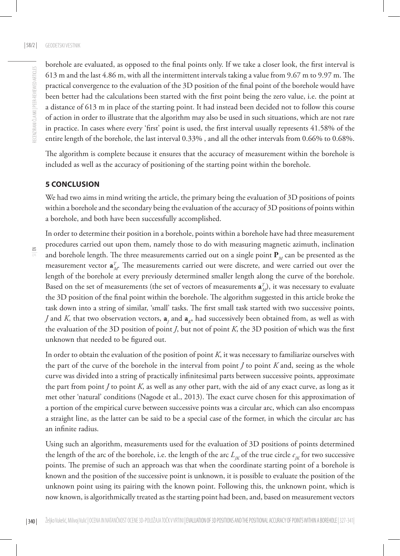borehole are evaluated, as opposed to the final points only. If we take a closer look, the first interval is 613 m and the last 4.86 m, with all the intermittent intervals taking a value from 9.67 m to 9.97 m. The practical convergence to the evaluation of the 3D position of the final point of the borehole would have been better had the calculations been started with the first point being the zero value, i.e. the point at a distance of 613 m in place of the starting point. It had instead been decided not to follow this course of action in order to illustrate that the algorithm may also be used in such situations, which are not rare in practice. In cases where every 'first' point is used, the first interval usually represents 41.58% of the entire length of the borehole, the last interval 0.33% , and all the other intervals from 0.66% to 0.68%.

The algorithm is complete because it ensures that the accuracy of measurement within the borehole is included as well as the accuracy of positioning of the starting point within the borehole.

## **5 CONCLUSION**

We had two aims in mind writing the article, the primary being the evaluation of 3D positions of points within a borehole and the secondary being the evaluation of the accuracy of 3D positions of points within a borehole, and both have been successfully accomplished.

In order to determine their position in a borehole, points within a borehole have had three measurement procedures carried out upon them, namely those to do with measuring magnetic azimuth, inclination and borehole length. The three measurements carried out on a single point  $P<sub>M</sub>$  can be presented as the measurement vector  $\mathbf{a}_{M}^{T}$ . The measurements carried out were discrete, and were carried out over the length of the borehole at every previously determined smaller length along the curve of the borehole. Based on the set of measurements (the set of vectors of measurements  $\mathbf{a}^T_M$ ), it was necessary to evaluate the 3D position of the final point within the borehole. The algorithm suggested in this article broke the task down into a string of similar, 'small' tasks. The first small task started with two successive points, *J* and *K*, that two observation vectors,  $a_j$  and  $a_{k'}$  had successively been obtained from, as well as with the evaluation of the 3D position of point *J*, but not of point *K*, the 3D position of which was the first unknown that needed to be figured out.

In order to obtain the evaluation of the position of point *K*, it was necessary to familiarize ourselves with the part of the curve of the borehole in the interval from point *J* to point *K* and, seeing as the whole curve was divided into a string of practically infinitesimal parts between successive points, approximate the part from point *J* to point *K*, as well as any other part, with the aid of any exact curve, as long as it met other 'natural' conditions (Nagode et al., 2013). The exact curve chosen for this approximation of a portion of the empirical curve between successive points was a circular arc, which can also encompass a straight line, as the latter can be said to be a special case of the former, in which the circular arc has an infinite radius.

Using such an algorithm, measurements used for the evaluation of 3D positions of points determined the length of the arc of the borehole, i.e. the length of the arc  $L_{K}$  of the true circle  $c_{K}$  for two successive points. The premise of such an approach was that when the coordinate starting point of a borehole is known and the position of the successive point is unknown, it is possible to evaluate the position of the unknown point using its pairing with the known point. Following this, the unknown point, which is now known, is algorithmically treated as the starting point had been, and, based on measurement vectors